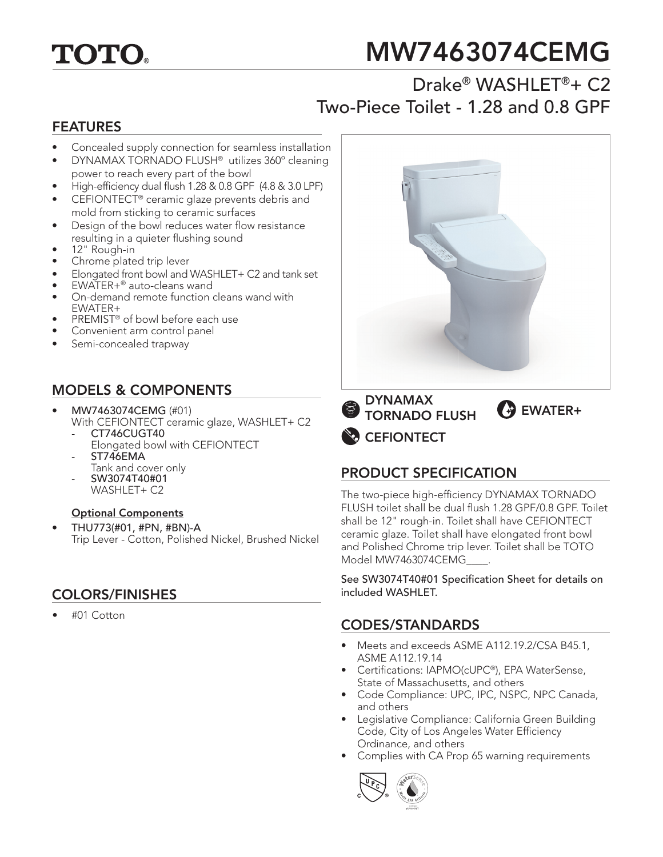

# MW7463074CEMG

## Drake® WASHLET®+ C2 Two-Piece Toilet - 1.28 and 0.8 GPF

### FEATURES

- Concealed supply connection for seamless installation
- DYNAMAX TORNADO FLUSH® utilizes 360º cleaning power to reach every part of the bowl
- High-efficiency dual flush 1.28 & 0.8 GPF (4.8 & 3.0 LPF)
- CEFIONTECT® ceramic glaze prevents debris and mold from sticking to ceramic surfaces
- Design of the bowl reduces water flow resistance resulting in a quieter flushing sound
- 12" Rough-in
- Chrome plated trip lever
- Elongated front bowl and WASHLET+ C2 and tank set
- EWATER+® auto-cleans wand
- On-demand remote function cleans wand with EWATER+
- PREMIST® of bowl before each use
- Convenient arm control panel
- Semi-concealed trapway

### MODELS & COMPONENTS

- MW7463074CEMG (#01) With CEFIONTECT ceramic glaze, WASHLET+ C2 - CT746CUGT40
	- Elongated bowl with CEFIONTECT
	- ST746EMA Tank and cover only
	- SW3074T40#01
	- WASHLET+ C2

#### Optional Components

• THU773(#01, #PN, #BN)-A Trip Lever - Cotton, Polished Nickel, Brushed Nickel

### COLORS/FINISHES included WASHLET.

• #01 Cotton



**CEFIONTECT** DYNAMAX TORNADO FLUSH **+** 

### PRODUCT SPECIFICATION

The two-piece high-efficiency DYNAMAX TORNADO FLUSH toilet shall be dual flush 1.28 GPF/0.8 GPF. Toilet shall be 12" rough-in. Toilet shall have CEFIONTECT ceramic glaze. Toilet shall have elongated front bowl and Polished Chrome trip lever. Toilet shall be TOTO Model MW7463074CEMG\_\_\_\_.

See SW3074T40#01 Specification Sheet for details on

### CODES/STANDARDS

- Meets and exceeds ASME A112.19.2/CSA B45.1, ASME A112.19.14
- Certifications: IAPMO(cUPC®), EPA WaterSense, State of Massachusetts, and others
- Code Compliance: UPC, IPC, NSPC, NPC Canada, and others
- Legislative Compliance: California Green Building Code, City of Los Angeles Water Efficiency Ordinance, and others
- Complies with CA Prop 65 warning requirements